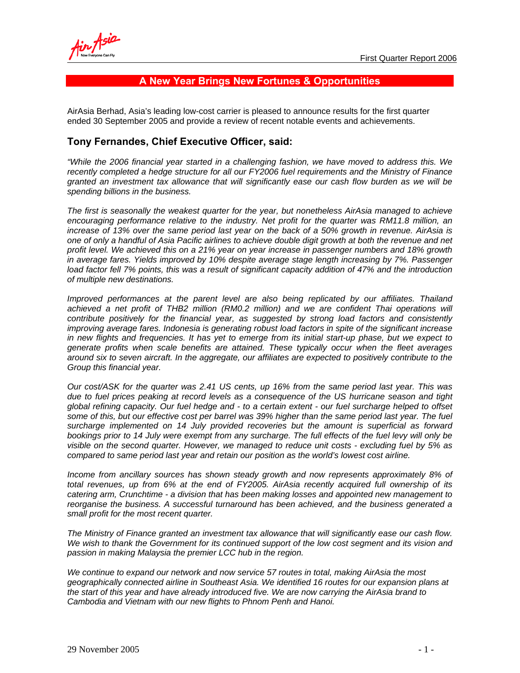## **A New Year Brings New Fortunes & Opportunities**

AirAsia Berhad, Asia's leading low-cost carrier is pleased to announce results for the first quarter ended 30 September 2005 and provide a review of recent notable events and achievements.

## **Tony Fernandes, Chief Executive Officer, said:**

*"While the 2006 financial year started in a challenging fashion, we have moved to address this. We recently completed a hedge structure for all our FY2006 fuel requirements and the Ministry of Finance granted an investment tax allowance that will significantly ease our cash flow burden as we will be spending billions in the business.* 

*The first is seasonally the weakest quarter for the year, but nonetheless AirAsia managed to achieve encouraging performance relative to the industry. Net profit for the quarter was RM11.8 million, an increase of 13% over the same period last year on the back of a 50% growth in revenue. AirAsia is one of only a handful of Asia Pacific airlines to achieve double digit growth at both the revenue and net profit level. We achieved this on a 21% year on year increase in passenger numbers and 18% growth in average fares. Yields improved by 10% despite average stage length increasing by 7%. Passenger load factor fell 7% points, this was a result of significant capacity addition of 47% and the introduction of multiple new destinations.* 

*Improved performances at the parent level are also being replicated by our affiliates. Thailand* achieved a net profit of THB2 million (RM0.2 million) and we are confident Thai operations will *contribute positively for the financial year, as suggested by strong load factors and consistently improving average fares. Indonesia is generating robust load factors in spite of the significant increase in new flights and frequencies. It has yet to emerge from its initial start-up phase, but we expect to generate profits when scale benefits are attained. These typically occur when the fleet averages around six to seven aircraft. In the aggregate, our affiliates are expected to positively contribute to the Group this financial year.* 

*Our cost/ASK for the quarter was 2.41 US cents, up 16% from the same period last year. This was due to fuel prices peaking at record levels as a consequence of the US hurricane season and tight global refining capacity. Our fuel hedge and - to a certain extent - our fuel surcharge helped to offset some of this, but our effective cost per barrel was 39% higher than the same period last year. The fuel surcharge implemented on 14 July provided recoveries but the amount is superficial as forward bookings prior to 14 July were exempt from any surcharge. The full effects of the fuel levy will only be visible on the second quarter. However, we managed to reduce unit costs - excluding fuel by 5% as compared to same period last year and retain our position as the world's lowest cost airline.* 

*Income from ancillary sources has shown steady growth and now represents approximately 8% of total revenues, up from 6% at the end of FY2005. AirAsia recently acquired full ownership of its catering arm, Crunchtime - a division that has been making losses and appointed new management to reorganise the business. A successful turnaround has been achieved, and the business generated a small profit for the most recent quarter.* 

*The Ministry of Finance granted an investment tax allowance that will significantly ease our cash flow.*  We wish to thank the Government for its continued support of the low cost segment and its vision and *passion in making Malaysia the premier LCC hub in the region.* 

*We continue to expand our network and now service 57 routes in total, making AirAsia the most geographically connected airline in Southeast Asia. We identified 16 routes for our expansion plans at the start of this year and have already introduced five. We are now carrying the AirAsia brand to Cambodia and Vietnam with our new flights to Phnom Penh and Hanoi.*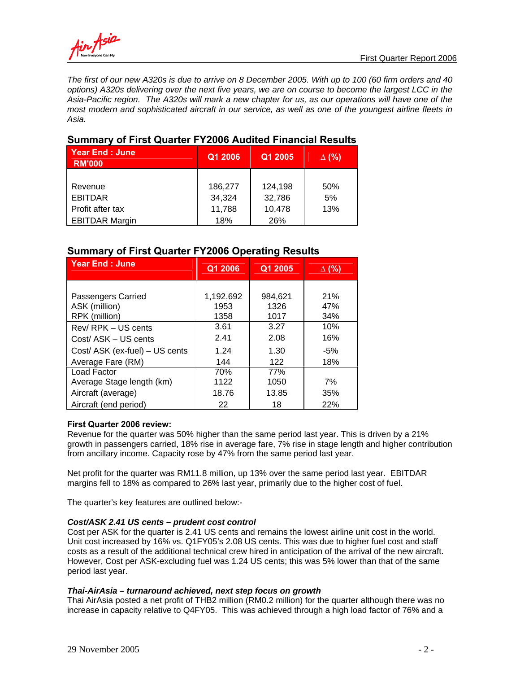*The first of our new A320s is due to arrive on 8 December 2005. With up to 100 (60 firm orders and 40 options) A320s delivering over the next five years, we are on course to become the largest LCC in the Asia-Pacific region. The A320s will mark a new chapter for us, as our operations will have one of the most modern and sophisticated aircraft in our service, as well as one of the youngest airline fleets in Asia.* 

| <b>UMINIMITY OF FIRST QUARTER FILEVED AUGHTEN FINANCIAL INCOUNCY</b> |         |         |              |  |
|----------------------------------------------------------------------|---------|---------|--------------|--|
| <b>Year End: June</b><br><b>RM'000</b>                               | Q1 2006 | Q1 2005 | $\Delta$ (%) |  |
|                                                                      |         |         |              |  |
| Revenue                                                              | 186,277 | 124,198 | 50%          |  |
| <b>EBITDAR</b>                                                       | 34,324  | 32,786  | 5%           |  |
| Profit after tax                                                     | 11,788  | 10,478  | 13%          |  |
| <b>EBITDAR Margin</b>                                                | 18%     | 26%     |              |  |

# **Summary of First Quarter FY2006 Audited Financial Results**

# **Summary of First Quarter FY2006 Operating Results**

| <b>Year End: June</b>                                                                         | Q1 2006                      | Q1 2005                      | $\Delta$ (%)               |
|-----------------------------------------------------------------------------------------------|------------------------------|------------------------------|----------------------------|
| Passengers Carried<br>ASK (million)                                                           | 1,192,692<br>1953            | 984.621<br>1326              | 21%<br>47%                 |
| RPK (million)<br>Rev/RPK - US cents<br>Cost/ ASK - US cents<br>Cost/ ASK (ex-fuel) - US cents | 1358<br>3.61<br>2.41<br>1.24 | 1017<br>3.27<br>2.08<br>1.30 | 34%<br>10%<br>16%<br>$-5%$ |
| Average Fare (RM)                                                                             | 144                          | 122                          | 18%                        |
| Load Factor<br>Average Stage length (km)<br>Aircraft (average)                                | 70%<br>1122<br>18.76         | 77%<br>1050<br>13.85         | 7%<br>35%                  |
| Aircraft (end period)                                                                         | 22                           | 18                           | 22%                        |

## **First Quarter 2006 review:**

Revenue for the quarter was 50% higher than the same period last year. This is driven by a 21% growth in passengers carried, 18% rise in average fare, 7% rise in stage length and higher contribution from ancillary income. Capacity rose by 47% from the same period last year.

Net profit for the quarter was RM11.8 million, up 13% over the same period last year. EBITDAR margins fell to 18% as compared to 26% last year, primarily due to the higher cost of fuel.

The quarter's key features are outlined below:-

## *Cost/ASK 2.41 US cents – prudent cost control*

Cost per ASK for the quarter is 2.41 US cents and remains the lowest airline unit cost in the world. Unit cost increased by 16% vs. Q1FY05's 2.08 US cents. This was due to higher fuel cost and staff costs as a result of the additional technical crew hired in anticipation of the arrival of the new aircraft. However, Cost per ASK-excluding fuel was 1.24 US cents; this was 5% lower than that of the same period last year.

## *Thai-AirAsia – turnaround achieved, next step focus on growth*

Thai AirAsia posted a net profit of THB2 million (RM0.2 million) for the quarter although there was no increase in capacity relative to Q4FY05. This was achieved through a high load factor of 76% and a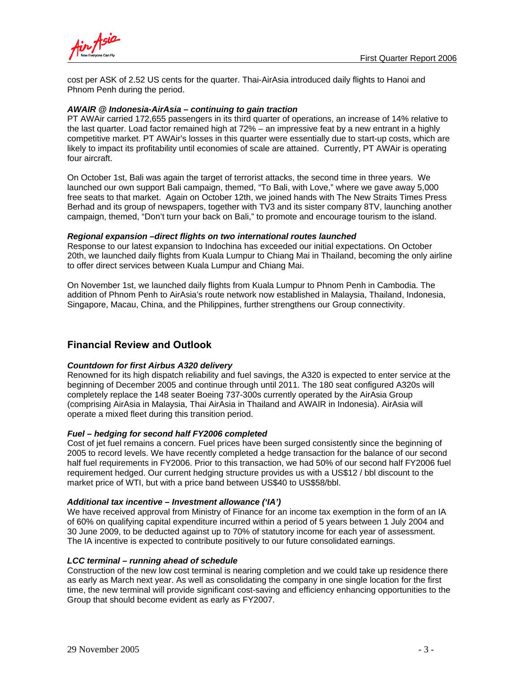



cost per ASK of 2.52 US cents for the quarter. Thai-AirAsia introduced daily flights to Hanoi and Phnom Penh during the period.

### *AWAIR @ Indonesia-AirAsia – continuing to gain traction*

PT AWAir carried 172,655 passengers in its third quarter of operations, an increase of 14% relative to the last quarter. Load factor remained high at 72% – an impressive feat by a new entrant in a highly competitive market. PT AWAir's losses in this quarter were essentially due to start-up costs, which are likely to impact its profitability until economies of scale are attained. Currently, PT AWAir is operating four aircraft.

On October 1st, Bali was again the target of terrorist attacks, the second time in three years. We launched our own support Bali campaign, themed, "To Bali, with Love," where we gave away 5,000 free seats to that market. Again on October 12th, we joined hands with The New Straits Times Press Berhad and its group of newspapers, together with TV3 and its sister company 8TV, launching another campaign, themed, "Don't turn your back on Bali," to promote and encourage tourism to the island.

### *Regional expansion –direct flights on two international routes launched*

Response to our latest expansion to Indochina has exceeded our initial expectations. On October 20th, we launched daily flights from Kuala Lumpur to Chiang Mai in Thailand, becoming the only airline to offer direct services between Kuala Lumpur and Chiang Mai.

On November 1st, we launched daily flights from Kuala Lumpur to Phnom Penh in Cambodia. The addition of Phnom Penh to AirAsia's route network now established in Malaysia, Thailand, Indonesia, Singapore, Macau, China, and the Philippines, further strengthens our Group connectivity.

# **Financial Review and Outlook**

### *Countdown for first Airbus A320 delivery*

Renowned for its high dispatch reliability and fuel savings, the A320 is expected to enter service at the beginning of December 2005 and continue through until 2011. The 180 seat configured A320s will completely replace the 148 seater Boeing 737-300s currently operated by the AirAsia Group (comprising AirAsia in Malaysia, Thai AirAsia in Thailand and AWAIR in Indonesia). AirAsia will operate a mixed fleet during this transition period.

### *Fuel – hedging for second half FY2006 completed*

Cost of jet fuel remains a concern. Fuel prices have been surged consistently since the beginning of 2005 to record levels. We have recently completed a hedge transaction for the balance of our second half fuel requirements in FY2006. Prior to this transaction, we had 50% of our second half FY2006 fuel requirement hedged. Our current hedging structure provides us with a US\$12 / bbl discount to the market price of WTI, but with a price band between US\$40 to US\$58/bbl.

### *Additional tax incentive – Investment allowance ('IA')*

We have received approval from Ministry of Finance for an income tax exemption in the form of an IA of 60% on qualifying capital expenditure incurred within a period of 5 years between 1 July 2004 and 30 June 2009, to be deducted against up to 70% of statutory income for each year of assessment. The IA incentive is expected to contribute positively to our future consolidated earnings.

### *LCC terminal – running ahead of schedule*

Construction of the new low cost terminal is nearing completion and we could take up residence there as early as March next year. As well as consolidating the company in one single location for the first time, the new terminal will provide significant cost-saving and efficiency enhancing opportunities to the Group that should become evident as early as FY2007.